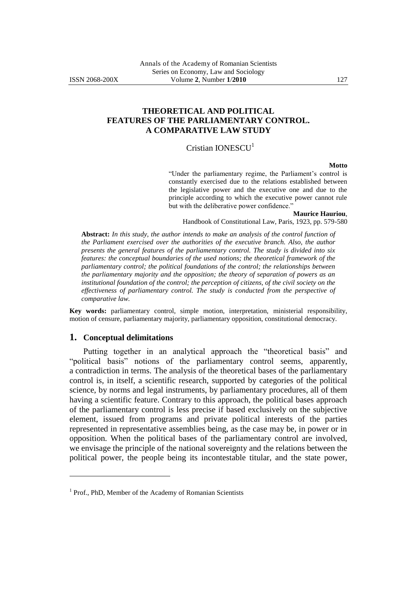## **THEORETICAL AND POLITICAL FEATURES OF THE PARLIAMENTARY CONTROL. A COMPARATIVE LAW STUDY**

# Cristian IONESCU<sup>1</sup>

#### **Motto**

"Under the parliamentary regime, the Parliament's control is constantly exercised due to the relations established between the legislative power and the executive one and due to the principle according to which the executive power cannot rule but with the deliberative power confidence."

#### **Maurice Hauriou**,

Handbook of Constitutional Law, Paris, 1923, pp. 579-580

**Abstract:** *In this study, the author intends to make an analysis of the control function of the Parliament exercised over the authorities of the executive branch. Also, the author presents the general features of the parliamentary control. The study is divided into six features: the conceptual boundaries of the used notions; the theoretical framework of the parliamentary control; the political foundations of the control; the relationships between the parliamentary majority and the opposition; the theory of separation of powers as an institutional foundation of the control; the perception of citizens, of the civil society on the effectiveness of parliamentary control. The study is conducted from the perspective of comparative law.*

**Key words:** parliamentary control, simple motion, interpretation, ministerial responsibility, motion of censure, parliamentary majority, parliamentary opposition, constitutional democracy.

#### **1. Conceptual delimitations**

 $\overline{a}$ 

Putting together in an analytical approach the "theoretical basis" and "political basis" notions of the parliamentary control seems, apparently, a contradiction in terms. The analysis of the theoretical bases of the parliamentary control is, in itself, a scientific research, supported by categories of the political science, by norms and legal instruments, by parliamentary procedures, all of them having a scientific feature. Contrary to this approach, the political bases approach of the parliamentary control is less precise if based exclusively on the subjective element, issued from programs and private political interests of the parties represented in representative assemblies being, as the case may be, in power or in opposition. When the political bases of the parliamentary control are involved, we envisage the principle of the national sovereignty and the relations between the political power, the people being its incontestable titular, and the state power,

<sup>&</sup>lt;sup>1</sup> Prof., PhD, Member of the Academy of Romanian Scientists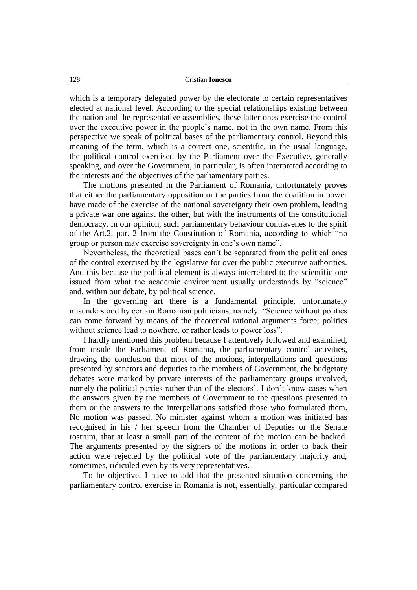which is a temporary delegated power by the electorate to certain representatives elected at national level. According to the special relationships existing between the nation and the representative assemblies, these latter ones exercise the control over the executive power in the people"s name, not in the own name. From this perspective we speak of political bases of the parliamentary control. Beyond this meaning of the term, which is a correct one, scientific, in the usual language, the political control exercised by the Parliament over the Executive, generally speaking, and over the Government, in particular, is often interpreted according to the interests and the objectives of the parliamentary parties.

The motions presented in the Parliament of Romania, unfortunately proves that either the parliamentary opposition or the parties from the coalition in power have made of the exercise of the national sovereignty their own problem, leading a private war one against the other, but with the instruments of the constitutional democracy. In our opinion, such parliamentary behaviour contravenes to the spirit of the Art.2, par. 2 from the Constitution of Romania, according to which "no group or person may exercise sovereignty in one"s own name".

Nevertheless, the theoretical bases can"t be separated from the political ones of the control exercised by the legislative for over the public executive authorities. And this because the political element is always interrelated to the scientific one issued from what the academic environment usually understands by "science" and, within our debate, by political science.

In the governing art there is a fundamental principle, unfortunately misunderstood by certain Romanian politicians, namely: "Science without politics can come forward by means of the theoretical rational arguments force; politics without science lead to nowhere, or rather leads to power loss".

I hardly mentioned this problem because I attentively followed and examined, from inside the Parliament of Romania, the parliamentary control activities, drawing the conclusion that most of the motions, interpellations and questions presented by senators and deputies to the members of Government, the budgetary debates were marked by private interests of the parliamentary groups involved, namely the political parties rather than of the electors'. I don't know cases when the answers given by the members of Government to the questions presented to them or the answers to the interpellations satisfied those who formulated them. No motion was passed. No minister against whom a motion was initiated has recognised in his / her speech from the Chamber of Deputies or the Senate rostrum, that at least a small part of the content of the motion can be backed. The arguments presented by the signers of the motions in order to back their action were rejected by the political vote of the parliamentary majority and, sometimes, ridiculed even by its very representatives.

To be objective, I have to add that the presented situation concerning the parliamentary control exercise in Romania is not, essentially, particular compared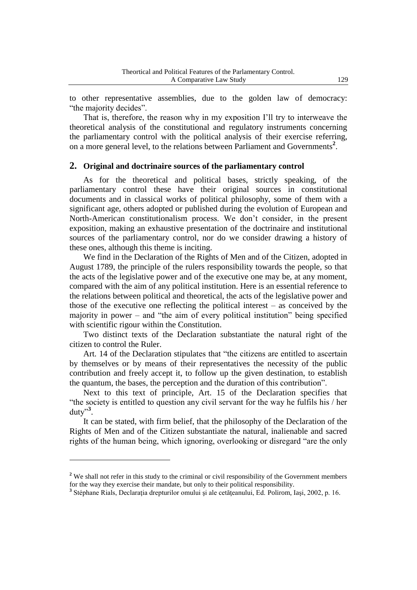to other representative assemblies, due to the golden law of democracy: "the majority decides".

That is, therefore, the reason why in my exposition I"ll try to interweave the theoretical analysis of the constitutional and regulatory instruments concerning the parliamentary control with the political analysis of their exercise referring, on a more general level, to the relations between Parliament and Governments**<sup>2</sup>** .

### **2. Original and doctrinaire sources of the parliamentary control**

As for the theoretical and political bases, strictly speaking, of the parliamentary control these have their original sources in constitutional documents and in classical works of political philosophy, some of them with a significant age, others adopted or published during the evolution of European and North-American constitutionalism process. We don"t consider, in the present exposition, making an exhaustive presentation of the doctrinaire and institutional sources of the parliamentary control, nor do we consider drawing a history of these ones, although this theme is inciting.

We find in the Declaration of the Rights of Men and of the Citizen, adopted in August 1789, the principle of the rulers responsibility towards the people, so that the acts of the legislative power and of the executive one may be, at any moment, compared with the aim of any political institution. Here is an essential reference to the relations between political and theoretical, the acts of the legislative power and those of the executive one reflecting the political interest – as conceived by the majority in power – and "the aim of every political institution" being specified with scientific rigour within the Constitution.

Two distinct texts of the Declaration substantiate the natural right of the citizen to control the Ruler.

Art. 14 of the Declaration stipulates that "the citizens are entitled to ascertain by themselves or by means of their representatives the necessity of the public contribution and freely accept it, to follow up the given destination, to establish the quantum, the bases, the perception and the duration of this contribution".

Next to this text of principle, Art. 15 of the Declaration specifies that "the society is entitled to question any civil servant for the way he fulfils his / her duty"**<sup>3</sup>** .

It can be stated, with firm belief, that the philosophy of the Declaration of the Rights of Men and of the Citizen substantiate the natural, inalienable and sacred rights of the human being, which ignoring, overlooking or disregard "are the only

<sup>&</sup>lt;sup>2</sup> We shall not refer in this study to the criminal or civil responsibility of the Government members for the way they exercise their mandate, but only to their political responsibility.

**<sup>3</sup>** Stéphane Rials, Declaraţia drepturilor omului şi ale cetăţeanului, Ed. Polirom, Iaşi, 2002, p. 16.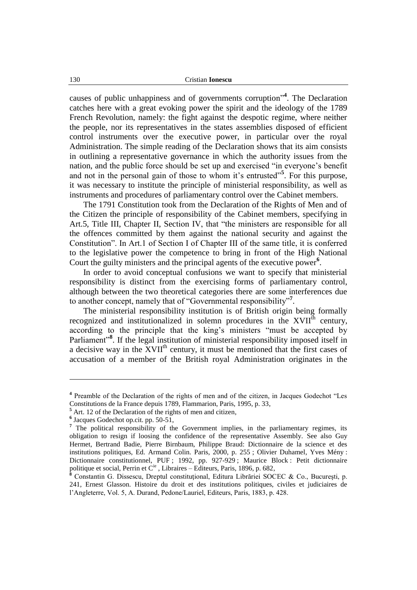causes of public unhappiness and of governments corruption"**<sup>4</sup>** . The Declaration catches here with a great evoking power the spirit and the ideology of the 1789 French Revolution, namely: the fight against the despotic regime, where neither the people, nor its representatives in the states assemblies disposed of efficient control instruments over the executive power, in particular over the royal Administration. The simple reading of the Declaration shows that its aim consists in outlining a representative governance in which the authority issues from the nation, and the public force should be set up and exercised "in everyone"s benefit and not in the personal gain of those to whom it's entrusted"<sup>5</sup>. For this purpose, it was necessary to institute the principle of ministerial responsibility, as well as instruments and procedures of parliamentary control over the Cabinet members.

The 1791 Constitution took from the Declaration of the Rights of Men and of the Citizen the principle of responsibility of the Cabinet members, specifying in Art.5, Title III, Chapter II, Section IV, that "the ministers are responsible for all the offences committed by them against the national security and against the Constitution". In Art.1 of Section I of Chapter III of the same title, it is conferred to the legislative power the competence to bring in front of the High National Court the guilty ministers and the principal agents of the executive power**<sup>6</sup>** .

In order to avoid conceptual confusions we want to specify that ministerial responsibility is distinct from the exercising forms of parliamentary control, although between the two theoretical categories there are some interferences due to another concept, namely that of "Governmental responsibility"**<sup>7</sup>** .

The ministerial responsibility institution is of British origin being formally recognized and institutionalized in solemn procedures in the XVII<sup>th</sup> century, according to the principle that the king"s ministers "must be accepted by Parliament"<sup>8</sup>. If the legal institution of ministerial responsibility imposed itself in a decisive way in the XVII<sup>th</sup> century, it must be mentioned that the first cases of accusation of a member of the British royal Administration originates in the

**<sup>4</sup>** Preamble of the Declaration of the rights of men and of the citizen, in Jacques Godechot "Les Constitutions de la France depuis 1789, Flammarion, Paris, 1995, p. 33,

**<sup>5</sup>** Art. 12 of the Declaration of the rights of men and citizen,

**<sup>6</sup>** Jacques Godechot op.cit. pp. 50-51,

<sup>&</sup>lt;sup>7</sup> The political responsibility of the Government implies, in the parliamentary regimes, its obligation to resign if loosing the confidence of the representative Assembly. See also Guy Hermet, Bertrand Badie, Pierre Birnbaum, Philippe Braud: Dictionnaire de la science et des institutions politiques, Ed. Armand Colin. Paris, 2000, p. 255 ; Olivier Duhamel, Yves Mény : Dictionnaire constitutionnel, PUF ; 1992, pp. 927-929 ; Maurice Block : Petit dictionnaire politique et social, Perrin et C<sup>ie</sup>, Libraires – Editeurs, Paris, 1896, p. 682,

**<sup>8</sup>** Constantin G. Dissescu, Dreptul constituţional, Editura Librăriei SOCEC & Co., Bucureşti, p. 241, Ernest Glasson. Histoire du droit et des institutions politiques, civiles et judiciaires de l"Angleterre, Vol. 5, A. Durand, Pedone/Lauriel, Editeurs, Paris, 1883, p. 428.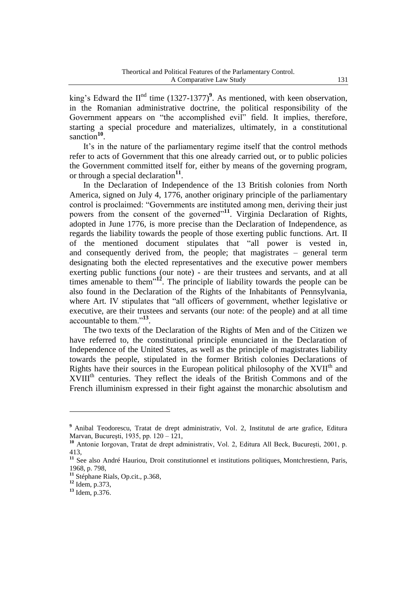king's Edward the  $II<sup>nd</sup>$  time  $(1327-1377)<sup>9</sup>$ . As mentioned, with keen observation, in the Romanian administrative doctrine, the political responsibility of the Government appears on "the accomplished evil" field. It implies, therefore, starting a special procedure and materializes, ultimately, in a constitutional sanction<sup>10</sup>.

It's in the nature of the parliamentary regime itself that the control methods refer to acts of Government that this one already carried out, or to public policies the Government committed itself for, either by means of the governing program, or through a special declaration**<sup>11</sup>** .

In the Declaration of Independence of the 13 British colonies from North America, signed on July 4, 1776, another originary principle of the parliamentary control is proclaimed: "Governments are instituted among men, deriving their just powers from the consent of the governed"<sup>11</sup>. Virginia Declaration of Rights, adopted in June 1776, is more precise than the Declaration of Independence, as regards the liability towards the people of those exerting public functions. Art. II of the mentioned document stipulates that "all power is vested in, and consequently derived from, the people; that magistrates – general term designating both the elected representatives and the executive power members exerting public functions (our note) - are their trustees and servants, and at all times amenable to them"**<sup>12</sup>** . The principle of liability towards the people can be also found in the Declaration of the Rights of the Inhabitants of Pennsylvania, where Art. IV stipulates that "all officers of government, whether legislative or executive, are their trustees and servants (our note: of the people) and at all time accountable to them."**<sup>13</sup>** .

The two texts of the Declaration of the Rights of Men and of the Citizen we have referred to, the constitutional principle enunciated in the Declaration of Independence of the United States, as well as the principle of magistrates liability towards the people, stipulated in the former British colonies Declarations of Rights have their sources in the European political philosophy of the XVII<sup>th</sup> and XVIII<sup>th</sup> centuries. They reflect the ideals of the British Commons and of the French illuminism expressed in their fight against the monarchic absolutism and

**<sup>9</sup>** Anibal Teodorescu, Tratat de drept administrativ, Vol. 2, Institutul de arte grafice, Editura Marvan, Bucureşti, 1935, pp. 120 – 121,

**<sup>10</sup>** Antonie Iorgovan, Tratat de drept administrativ, Vol. 2, Editura All Beck, Bucureşti, 2001, p. 413,

<sup>&</sup>lt;sup>11</sup> See also André Hauriou, Droit constitutionnel et institutions politiques, Montchrestienn, Paris, 1968, p. 798,

**<sup>11</sup>** Stéphane Rials, Op.cit., p.368,

**<sup>12</sup>** Idem, p.373,

**<sup>13</sup>** Idem, p.376.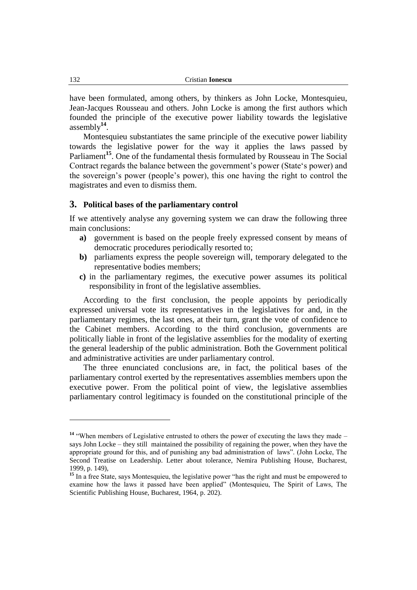have been formulated, among others, by thinkers as John Locke, Montesquieu, Jean-Jacques Rousseau and others. John Locke is among the first authors which founded the principle of the executive power liability towards the legislative assembly**<sup>14</sup>** .

Montesquieu substantiates the same principle of the executive power liability towards the legislative power for the way it applies the laws passed by Parliament<sup>15</sup>. One of the fundamental thesis formulated by Rousseau in The Social Contract regards the balance between the government"s power (State"s power) and the sovereign"s power (people"s power), this one having the right to control the magistrates and even to dismiss them.

### **3. Political bases of the parliamentary control**

If we attentively analyse any governing system we can draw the following three main conclusions:

- **a)** government is based on the people freely expressed consent by means of democratic procedures periodically resorted to;
- **b)** parliaments express the people sovereign will, temporary delegated to the representative bodies members;
- **c)** in the parliamentary regimes, the executive power assumes its political responsibility in front of the legislative assemblies.

According to the first conclusion, the people appoints by periodically expressed universal vote its representatives in the legislatives for and, in the parliamentary regimes, the last ones, at their turn, grant the vote of confidence to the Cabinet members. According to the third conclusion, governments are politically liable in front of the legislative assemblies for the modality of exerting the general leadership of the public administration. Both the Government political and administrative activities are under parliamentary control.

The three enunciated conclusions are, in fact, the political bases of the parliamentary control exerted by the representatives assemblies members upon the executive power. From the political point of view, the legislative assemblies parliamentary control legitimacy is founded on the constitutional principle of the

<sup>&</sup>lt;sup>14</sup> "When members of Legislative entrusted to others the power of executing the laws they made – says John Locke – they still maintained the possibility of regaining the power, when they have the appropriate ground for this, and of punishing any bad administration of laws". (John Locke, The Second Treatise on Leadership. Letter about tolerance, Nemira Publishing House, Bucharest, 1999, p. 149),

<sup>&</sup>lt;sup>15</sup> In a free State, says Montesquieu, the legislative power "has the right and must be empowered to examine how the laws it passed have been applied" (Montesquieu, The Spirit of Laws, The Scientific Publishing House, Bucharest, 1964, p. 202).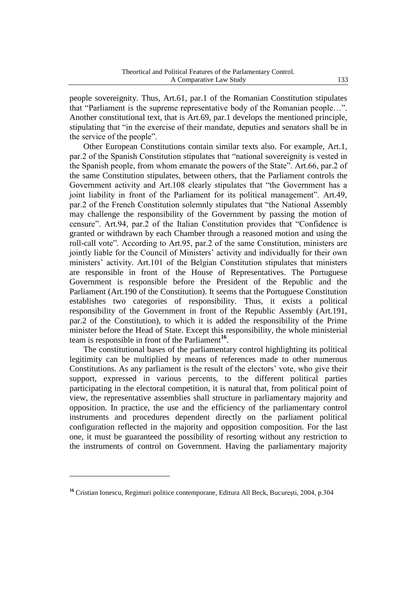people sovereignity. Thus, Art.61, par.1 of the Romanian Constitution stipulates that "Parliament is the supreme representative body of the Romanian people…". Another constitutional text, that is Art.69, par.1 develops the mentioned principle, stipulating that "in the exercise of their mandate, deputies and senators shall be in the service of the people".

Other European Constitutions contain similar texts also. For example, Art.1, par.2 of the Spanish Constitution stipulates that "national sovereignity is vested in the Spanish people, from whom emanate the powers of the State". Art.66, par.2 of the same Constitution stipulates, between others, that the Parliament controls the Government activity and Art.108 clearly stipulates that "the Government has a joint liability in front of the Parliament for its political management". Art.49, par.2 of the French Constitution solemnly stipulates that "the National Assembly may challenge the responsibility of the Government by passing the motion of censure". Art.94, par.2 of the Italian Constitution provides that "Confidence is granted or withdrawn by each Chamber through a reasoned motion and using the roll-call vote". According to Art.95, par.2 of the same Constitution, ministers are jointly liable for the Council of Ministers' activity and individually for their own ministers" activity. Art.101 of the Belgian Constitution stipulates that ministers are responsible in front of the House of Representatives. The Portuguese Government is responsible before the President of the Republic and the Parliament (Art.190 of the Constitution). It seems that the Portuguese Constitution establishes two categories of responsibility. Thus, it exists a political responsibility of the Government in front of the Republic Assembly (Art.191, par.2 of the Constitution), to which it is added the responsibility of the Prime minister before the Head of State. Except this responsibility, the whole ministerial team is responsible in front of the Parliament<sup>16</sup>.

The constitutional bases of the parliamentary control highlighting its political legitimity can be multiplied by means of references made to other numerous Constitutions. As any parliament is the result of the electors' vote, who give their support, expressed in various percents, to the different political parties participating in the electoral competition, it is natural that, from political point of view, the representative assemblies shall structure in parliamentary majority and opposition. In practice, the use and the efficiency of the parliamentary control instruments and procedures dependent directly on the parliament political configuration reflected in the majority and opposition composition. For the last one, it must be guaranteed the possibility of resorting without any restriction to the instruments of control on Government. Having the parliamentary majority

<sup>&</sup>lt;sup>16</sup> Cristian Ionescu, Regimuri politice contemporane, Editura All Beck, București, 2004, p.304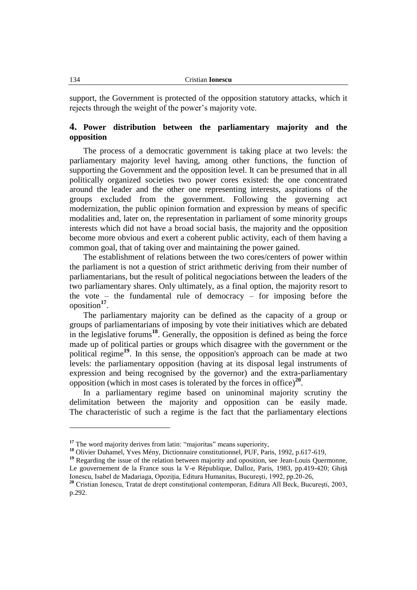support, the Government is protected of the opposition statutory attacks, which it rejects through the weight of the power"s majority vote.

## **4. Power distribution between the parliamentary majority and the opposition**

The process of a democratic government is taking place at two levels: the parliamentary majority level having, among other functions, the function of supporting the Government and the opposition level. It can be presumed that in all politically organized societies two power cores existed: the one concentrated around the leader and the other one representing interests, aspirations of the groups excluded from the government. Following the governing act modernization, the public opinion formation and expression by means of specific modalities and, later on, the representation in parliament of some minority groups interests which did not have a broad social basis, the majority and the opposition become more obvious and exert a coherent public activity, each of them having a common goal, that of taking over and maintaining the power gained.

The establishment of relations between the two cores/centers of power within the parliament is not a question of strict arithmetic deriving from their number of parliamentarians, but the result of political negociations between the leaders of the two parliamentary shares. Only ultimately, as a final option, the majority resort to the vote – the fundamental rule of democracy – for imposing before the oposition**<sup>17</sup>** .

The parliamentary majority can be defined as the capacity of a group or groups of parliamentarians of imposing by vote their initiatives which are debated in the legislative forums**<sup>18</sup>**. Generally, the opposition is defined as being the force made up of political parties or groups which disagree with the government or the political regime**<sup>19</sup>**. In this sense, the opposition's approach can be made at two levels: the parliamentary opposition (having at its disposal legal instruments of expression and being recognised by the governor) and the extra-parliamentary opposition (which in most cases is tolerated by the forces in office)**<sup>20</sup>** .

In a parliamentary regime based on uninominal majority scrutiny the delimitation between the majority and opposition can be easily made. The characteristic of such a regime is the fact that the parliamentary elections

<sup>&</sup>lt;sup>17</sup> The word majority derives from latin: "majoritas" means superiority,

**<sup>18</sup>** Olivier Duhamel, Yves Mény, Dictionnaire constitutionnel, PUF, Paris, 1992, p.617-619,

<sup>&</sup>lt;sup>19</sup> Regarding the issue of the relation between majority and oposition, see Jean-Louis Quermonne, Le gouvernement de la France sous la V-e République, Dalloz, Paris, 1983, pp.419-420; Ghită Ionescu, Isabel de Madariaga, Opoziţia, Editura Humanitas, Bucureşti, 1992, pp.20-26,

<sup>&</sup>lt;sup>20</sup> Cristian Ionescu, Tratat de drept constituțional contemporan, Editura All Beck, București, 2003, p.292.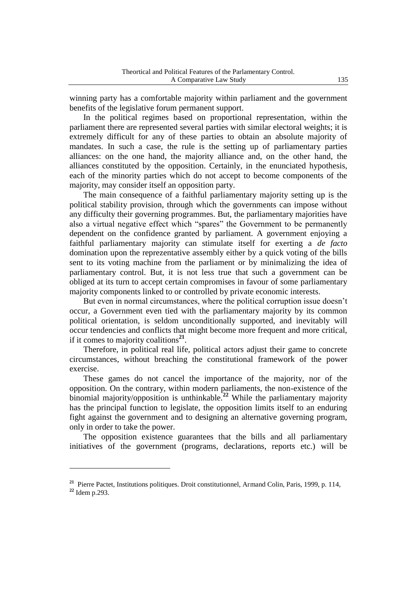winning party has a comfortable majority within parliament and the government benefits of the legislative forum permanent support.

In the political regimes based on proportional representation, within the parliament there are represented several parties with similar electoral weights; it is extremely difficult for any of these parties to obtain an absolute majority of mandates. In such a case, the rule is the setting up of parliamentary parties alliances: on the one hand, the majority alliance and, on the other hand, the alliances constituted by the opposition. Certainly, in the enunciated hypothesis, each of the minority parties which do not accept to become components of the majority, may consider itself an opposition party.

The main consequence of a faithful parliamentary majority setting up is the political stability provision, through which the governments can impose without any difficulty their governing programmes. But, the parliamentary majorities have also a virtual negative effect which "spares" the Government to be permanently dependent on the confidence granted by parliament. A government enjoying a faithful parliamentary majority can stimulate itself for exerting a *de facto* domination upon the reprezentative assembly either by a quick voting of the bills sent to its voting machine from the parliament or by minimalizing the idea of parliamentary control. But, it is not less true that such a government can be obliged at its turn to accept certain compromises in favour of some parliamentary majority components linked to or controlled by private economic interests.

But even in normal circumstances, where the political corruption issue doesn"t occur, a Government even tied with the parliamentary majority by its common political orientation, is seldom unconditionally supported, and inevitably will occur tendencies and conflicts that might become more frequent and more critical, if it comes to majority coalitions**<sup>21</sup>** .

Therefore, in political real life, political actors adjust their game to concrete circumstances, without breaching the constitutional framework of the power exercise.

These games do not cancel the importance of the majority, nor of the opposition. On the contrary, within modern parliaments, the non-existence of the binomial majority/opposition is unthinkable.**<sup>22</sup>** While the parliamentary majority has the principal function to legislate, the opposition limits itself to an enduring fight against the government and to designing an alternative governing program, only in order to take the power.

The opposition existence guarantees that the bills and all parliamentary initiatives of the government (programs, declarations, reports etc.) will be

**<sup>21</sup>** Pierre Pactet, Institutions politiques. Droit constitutionnel, Armand Colin, Paris, 1999, p. 114, **<sup>22</sup>** Idem p.293.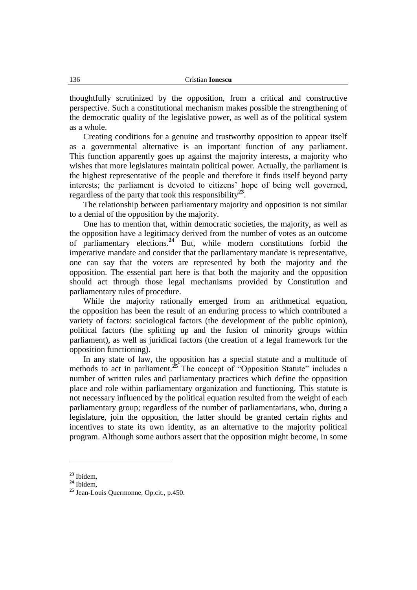thoughtfully scrutinized by the opposition, from a critical and constructive perspective. Such a constitutional mechanism makes possible the strengthening of the democratic quality of the legislative power, as well as of the political system as a whole.

Creating conditions for a genuine and trustworthy opposition to appear itself as a governmental alternative is an important function of any parliament. This function apparently goes up against the majority interests, a majority who wishes that more legislatures maintain political power. Actually, the parliament is the highest representative of the people and therefore it finds itself beyond party interests; the parliament is devoted to citizens' hope of being well governed, regardless of the party that took this responsibility**<sup>23</sup>** .

The relationship between parliamentary majority and opposition is not similar to a denial of the opposition by the majority.

One has to mention that, within democratic societies, the majority, as well as the opposition have a legitimacy derived from the number of votes as an outcome of parliamentary elections.**<sup>24</sup>** But, while modern constitutions forbid the imperative mandate and consider that the parliamentary mandate is representative, one can say that the voters are represented by both the majority and the opposition. The essential part here is that both the majority and the opposition should act through those legal mechanisms provided by Constitution and parliamentary rules of procedure.

While the majority rationally emerged from an arithmetical equation, the opposition has been the result of an enduring process to which contributed a variety of factors: sociological factors (the development of the public opinion), political factors (the splitting up and the fusion of minority groups within parliament), as well as juridical factors (the creation of a legal framework for the opposition functioning).

In any state of law, the opposition has a special statute and a multitude of methods to act in parliament.**<sup>25</sup>** The concept of "Opposition Statute" includes a number of written rules and parliamentary practices which define the opposition place and role within parliamentary organization and functioning. This statute is not necessary influenced by the political equation resulted from the weight of each parliamentary group; regardless of the number of parliamentarians, who, during a legislature, join the opposition, the latter should be granted certain rights and incentives to state its own identity, as an alternative to the majority political program. Although some authors assert that the opposition might become, in some

**<sup>23</sup>** Ibidem,

**<sup>24</sup>** Ibidem,

**<sup>25</sup>** Jean-Louis Quermonne, Op.cit., p.450.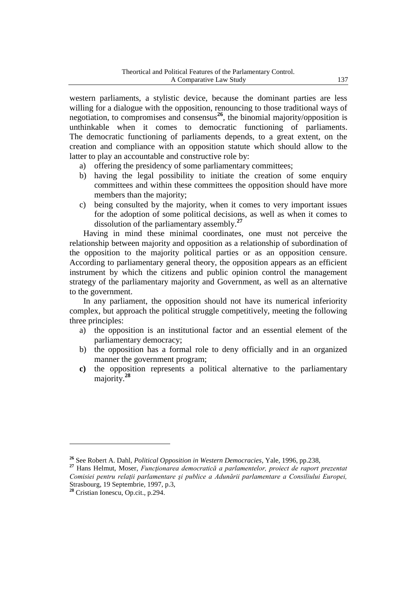western parliaments, a stylistic device, because the dominant parties are less willing for a dialogue with the opposition, renouncing to those traditional ways of negotiation, to compromises and consensus**<sup>26</sup>**, the binomial majority/opposition is unthinkable when it comes to democratic functioning of parliaments. The democratic functioning of parliaments depends, to a great extent, on the creation and compliance with an opposition statute which should allow to the latter to play an accountable and constructive role by:

- a) offering the presidency of some parliamentary committees;
- b) having the legal possibility to initiate the creation of some enquiry committees and within these committees the opposition should have more members than the majority;
- c) being consulted by the majority, when it comes to very important issues for the adoption of some political decisions, as well as when it comes to dissolution of the parliamentary assembly.**<sup>27</sup>**

Having in mind these minimal coordinates, one must not perceive the relationship between majority and opposition as a relationship of subordination of the opposition to the majority political parties or as an opposition censure. According to parliamentary general theory, the opposition appears as an efficient instrument by which the citizens and public opinion control the management strategy of the parliamentary majority and Government, as well as an alternative to the government.

In any parliament, the opposition should not have its numerical inferiority complex, but approach the political struggle competitively, meeting the following three principles:

- a) the opposition is an institutional factor and an essential element of the parliamentary democracy;
- b) the opposition has a formal role to deny officially and in an organized manner the government program;
- **c)** the opposition represents a political alternative to the parliamentary majority.**<sup>28</sup>**

**<sup>26</sup>** See Robert A. Dahl, *Political Opposition in Western Democracies*, Yale, 1996, pp.238,

**<sup>27</sup>** Hans Helmut, Moser, *Funcţionarea democratică a parlamentelor, proiect de raport prezentat Comisiei pentru relaţii parlamentare şi publice a Adunării parlamentare a Consiliului Europei,*  Strasbourg, 19 Septembrie, 1997, p.3,

**<sup>28</sup>** Cristian Ionescu, Op.cit., p.294.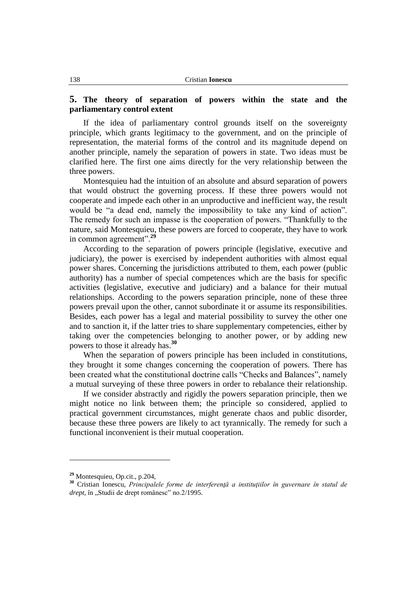### **5. The theory of separation of powers within the state and the parliamentary control extent**

If the idea of parliamentary control grounds itself on the sovereignty principle, which grants legitimacy to the government, and on the principle of representation, the material forms of the control and its magnitude depend on another principle, namely the separation of powers in state. Two ideas must be clarified here. The first one aims directly for the very relationship between the three powers.

Montesquieu had the intuition of an absolute and absurd separation of powers that would obstruct the governing process. If these three powers would not cooperate and impede each other in an unproductive and inefficient way, the result would be "a dead end, namely the impossibility to take any kind of action". The remedy for such an impasse is the cooperation of powers. "Thankfully to the nature, said Montesquieu, these powers are forced to cooperate, they have to work in common agreement".**<sup>29</sup>**

According to the separation of powers principle (legislative, executive and judiciary), the power is exercised by independent authorities with almost equal power shares. Concerning the jurisdictions attributed to them, each power (public authority) has a number of special competences which are the basis for specific activities (legislative, executive and judiciary) and a balance for their mutual relationships. According to the powers separation principle, none of these three powers prevail upon the other, cannot subordinate it or assume its responsibilities. Besides, each power has a legal and material possibility to survey the other one and to sanction it, if the latter tries to share supplementary competencies, either by taking over the competencies belonging to another power, or by adding new powers to those it already has.**<sup>30</sup>**

When the separation of powers principle has been included in constitutions, they brought it some changes concerning the cooperation of powers. There has been created what the constitutional doctrine calls "Checks and Balances", namely a mutual surveying of these three powers in order to rebalance their relationship.

If we consider abstractly and rigidly the powers separation principle, then we might notice no link between them; the principle so considered, applied to practical government circumstances, might generate chaos and public disorder, because these three powers are likely to act tyrannically. The remedy for such a functional inconvenient is their mutual cooperation.

**<sup>29</sup>** Montesquieu, Op.cit., p.204,

**<sup>30</sup>** Cristian Ionescu, *Principalele forme de interferenţă a instituţiilor în guvernare în statul de drept*, în "Studii de drept românesc" no.2/1995.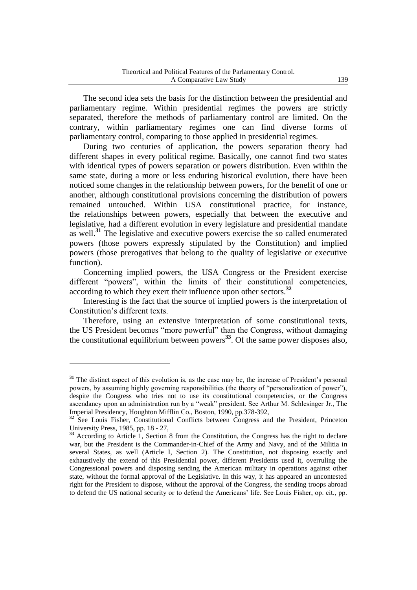The second idea sets the basis for the distinction between the presidential and parliamentary regime. Within presidential regimes the powers are strictly separated, therefore the methods of parliamentary control are limited. On the contrary, within parliamentary regimes one can find diverse forms of parliamentary control, comparing to those applied in presidential regimes.

During two centuries of application, the powers separation theory had different shapes in every political regime. Basically, one cannot find two states with identical types of powers separation or powers distribution. Even within the same state, during a more or less enduring historical evolution, there have been noticed some changes in the relationship between powers, for the benefit of one or another, although constitutional provisions concerning the distribution of powers remained untouched. Within USA constitutional practice, for instance, the relationships between powers, especially that between the executive and legislative, had a different evolution in every legislature and presidential mandate as well.**<sup>31</sup>** The legislative and executive powers exercise the so called enumerated powers (those powers expressly stipulated by the Constitution) and implied powers (those prerogatives that belong to the quality of legislative or executive function).

Concerning implied powers, the USA Congress or the President exercise different "powers", within the limits of their constitutional competencies, according to which they exert their influence upon other sectors.**<sup>32</sup>**

Interesting is the fact that the source of implied powers is the interpretation of Constitution"s different texts.

Therefore, using an extensive interpretation of some constitutional texts, the US President becomes "more powerful" than the Congress, without damaging the constitutional equilibrium between powers**<sup>33</sup>**. Of the same power disposes also,

<sup>&</sup>lt;sup>31</sup> The distinct aspect of this evolution is, as the case may be, the increase of President's personal powers, by assuming highly governing responsibilities (the theory of "personalization of power"), despite the Congress who tries not to use its constitutional competencies, or the Congress ascendancy upon an administration run by a "weak" president. See Arthur M. Schlesinger Jr., The Imperial Presidency, Houghton Mifflin Co., Boston, 1990, pp.378-392,

<sup>&</sup>lt;sup>32</sup> See Louis Fisher, Constitutional Conflicts between Congress and the President, Princeton University Press, 1985, pp. 18 - 27,

<sup>&</sup>lt;sup>33</sup> According to Article 1, Section 8 from the Constitution, the Congress has the right to declare war, but the President is the Commander-in-Chief of the Army and Navy, and of the Militia in several States, as well (Article I, Section 2). The Constitution, not disposing exactly and exhaustively the extend of this Presidential power, different Presidents used it, overruling the Congressional powers and disposing sending the American military in operations against other state, without the formal approval of the Legislative. In this way, it has appeared an uncontested right for the President to dispose, without the approval of the Congress, the sending troops abroad to defend the US national security or to defend the Americans" life. See Louis Fisher, op. cit., pp.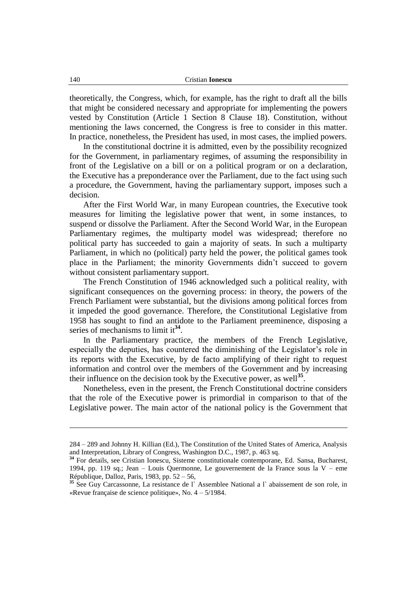theoretically, the Congress, which, for example, has the right to draft all the bills that might be considered necessary and appropriate for implementing the powers vested by Constitution (Article 1 Section 8 Clause 18). Constitution, without mentioning the laws concerned, the Congress is free to consider in this matter. In practice, nonetheless, the President has used, in most cases, the implied powers.

In the constitutional doctrine it is admitted, even by the possibility recognized for the Government, in parliamentary regimes, of assuming the responsibility in front of the Legislative on a bill or on a political program or on a declaration, the Executive has a preponderance over the Parliament, due to the fact using such a procedure, the Government, having the parliamentary support, imposes such a decision.

After the First World War, in many European countries, the Executive took measures for limiting the legislative power that went, in some instances, to suspend or dissolve the Parliament. After the Second World War, in the European Parliamentary regimes, the multiparty model was widespread; therefore no political party has succeeded to gain a majority of seats. In such a multiparty Parliament, in which no (political) party held the power, the political games took place in the Parliament; the minority Governments didn"t succeed to govern without consistent parliamentary support.

The French Constitution of 1946 acknowledged such a political reality, with significant consequences on the governing process: in theory, the powers of the French Parliament were substantial, but the divisions among political forces from it impeded the good governance. Therefore, the Constitutional Legislative from 1958 has sought to find an antidote to the Parliament preeminence, disposing a series of mechanisms to limit it<sup>34</sup>.

In the Parliamentary practice, the members of the French Legislative, especially the deputies, has countered the diminishing of the Legislator's role in its reports with the Executive, by de facto amplifying of their right to request information and control over the members of the Government and by increasing their influence on the decision took by the Executive power, as well<sup>35</sup>.

Nonetheless, even in the present, the French Constitutional doctrine considers that the role of the Executive power is primordial in comparison to that of the Legislative power. The main actor of the national policy is the Government that

<u>.</u>

<sup>284 –</sup> 289 and Johnny H. Killian (Ed.), The Constitution of the United States of America, Analysis and Interpretation, Library of Congress, Washington D.C., 1987, p. 463 sq.

<sup>&</sup>lt;sup>34</sup> For details, see Cristian Ionescu, Sisteme constitutionale contemporane, Ed. Sansa, Bucharest, 1994, pp. 119 sq.; Jean – Louis Quermonne, Le gouvernement de la France sous la V – eme République, Dalloz, Paris, 1983, pp. 52 – 56,

<sup>&</sup>lt;sup>35</sup> See Guy Carcassonne, La resistance de l` Assemblee National a l` abaissement de son role, in «Revue française de science politique», No. 4 – 5/1984.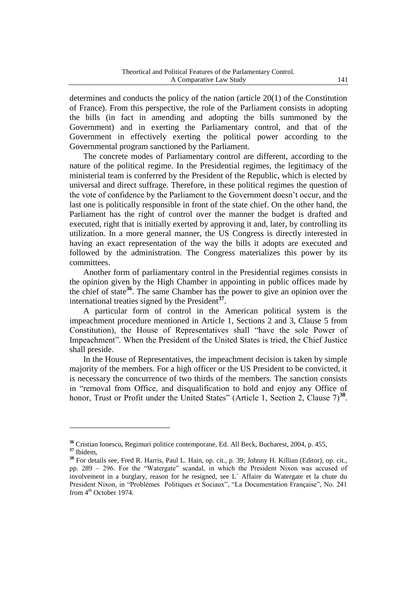determines and conducts the policy of the nation (article 20(1) of the Constitution of France). From this perspective, the role of the Parliament consists in adopting the bills (in fact in amending and adopting the bills summoned by the Government) and in exerting the Parliamentary control, and that of the Government in effectively exerting the political power according to the Governmental program sanctioned by the Parliament.

The concrete modes of Parliamentary control are different, according to the nature of the political regime. In the Presidential regimes, the legitimacy of the ministerial team is conferred by the President of the Republic, which is elected by universal and direct suffrage. Therefore, in these political regimes the question of the vote of confidence by the Parliament to the Government doesn"t occur, and the last one is politically responsible in front of the state chief. On the other hand, the Parliament has the right of control over the manner the budget is drafted and executed, right that is initially exerted by approving it and, later, by controlling its utilization. In a more general manner, the US Congress is directly interested in having an exact representation of the way the bills it adopts are executed and followed by the administration. The Congress materializes this power by its committees.

Another form of parliamentary control in the Presidential regimes consists in the opinion given by the High Chamber in appointing in public offices made by the chief of state**<sup>36</sup>**. The same Chamber has the power to give an opinion over the international treaties signed by the President**<sup>37</sup>** .

A particular form of control in the American political system is the impeachment procedure mentioned in Article 1, Sections 2 and 3, Clause 5 from Constitution), the House of Representatives shall "have the sole Power of Impeachment". When the President of the United States is tried, the Chief Justice shall preside.

In the House of Representatives, the impeachment decision is taken by simple majority of the members. For a high officer or the US President to be convicted, it is necessary the concurrence of two thirds of the members. The sanction consists in "removal from Office, and disqualification to hold and enjoy any Office of honor, Trust or Profit under the United States" (Article 1, Section 2, Clause 7)<sup>38</sup>.

**<sup>36</sup>** Cristian Ionescu, Regimuri politice contemporane, Ed. All Beck, Bucharest, 2004, p. 455, **<sup>37</sup>** Ibidem,

**<sup>38</sup>** For details see, Fred R. Harris, Paul L. Hain, op. cit., p. 39; Johnny H. Killian (Editor), op. cit., pp. 289 – 296. For the "Watergate" scandal, in which the President Nixon was accused of involvement in a burglary, reason for he resigned, see L` Affaire du Watergate et la chute du President Nixon, in "Problémes Politiques et Sociaux", "La Documentation Française", No. 241 from  $4<sup>th</sup>$  October 1974.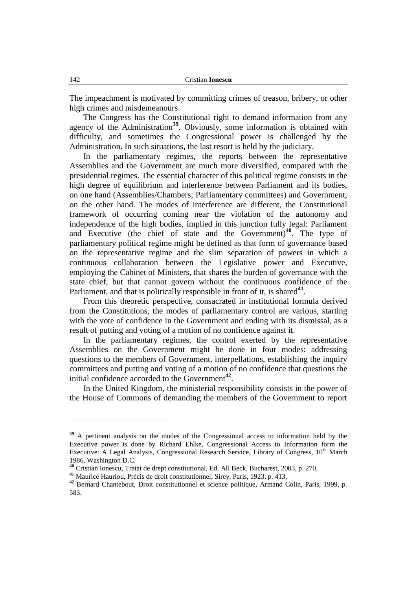The impeachment is motivated by committing crimes of treason, bribery, or other high crimes and misdemeanours.

The Congress has the Constitutional right to demand information from any agency of the Administration<sup>39</sup>. Obviously, some information is obtained with difficulty, and sometimes the Congressional power is challenged by the Administration. In such situations, the last resort is held by the judiciary.

In the parliamentary regimes, the reports between the representative Assemblies and the Government are much more diversified, compared with the presidential regimes. The essential character of this political regime consists in the high degree of equilibrium and interference between Parliament and its bodies, on one hand (Assemblies/Chambers; Parliamentary committees) and Government, on the other hand. The modes of interference are different, the Constitutional framework of occurring coming near the violation of the autonomy and independence of the high bodies, implied in this junction fully legal: Parliament and Executive (the chief of state and the Government)**<sup>40</sup>**. The type of parliamentary political regime might be defined as that form of governance based on the representative regime and the slim separation of powers in which a continuous collaboration between the Legislative power and Executive, employing the Cabinet of Ministers, that shares the burden of governance with the state chief, but that cannot govern without the continuous confidence of the Parliament, and that is politically responsible in front of it, is shared<sup>41</sup>.

From this theoretic perspective, consacrated in institutional formula derived from the Constitutions, the modes of parliamentary control are various, starting with the vote of confidence in the Government and ending with its dismissal, as a result of putting and voting of a motion of no confidence against it.

In the parliamentary regimes, the control exerted by the representative Assemblies on the Government might be done in four modes: addressing questions to the members of Government, interpellations, establishing the inquiry committees and putting and voting of a motion of no confidence that questions the initial confidence accorded to the Government**<sup>42</sup>** .

In the United Kingdom, the ministerial responsibility consists in the power of the House of Commons of demanding the members of the Government to report

<sup>&</sup>lt;sup>39</sup> A pertinent analysis on the modes of the Congressional access to information held by the Executive power is done by Richard Ehlke, Congressional Access to Information form the Executive: A Legal Analysis, Congressional Research Service, Library of Congress,  $10<sup>th</sup>$  March 1986, Washington D.C.

**<sup>40</sup>** Cristian Ionescu, Tratat de drept constitutional, Ed. All Beck, Bucharest, 2003, p. 270,

**<sup>41</sup>** Maurice Hauriou, Précis de droit constitutionnel, Sirey, Paris, 1923, p. 413,

**<sup>42</sup>** Bernard Chantebout, Droit constitutionnel et science politique, Armand Colin, Paris, 1999, p. 583.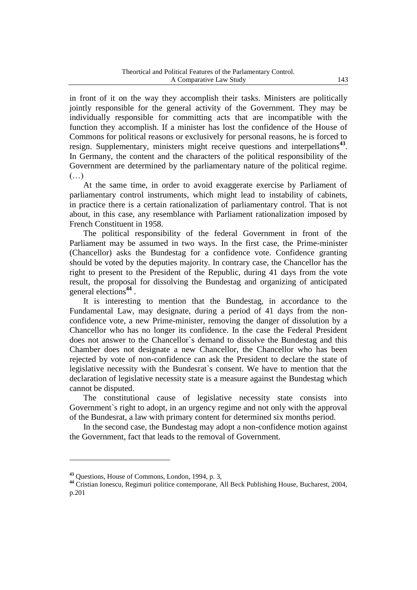in front of it on the way they accomplish their tasks. Ministers are politically jointly responsible for the general activity of the Government. They may be individually responsible for committing acts that are incompatible with the function they accomplish. If a minister has lost the confidence of the House of Commons for political reasons or exclusively for personal reasons, he is forced to resign. Supplementary, ministers might receive questions and interpellations**<sup>43</sup>** . In Germany, the content and the characters of the political responsibility of the Government are determined by the parliamentary nature of the political regime.  $(\ldots)$ 

At the same time, in order to avoid exaggerate exercise by Parliament of parliamentary control instruments, which might lead to instability of cabinets, in practice there is a certain rationalization of parliamentary control. That is not about, in this case, any resemblance with Parliament rationalization imposed by French Constituent in 1958.

The political responsibility of the federal Government in front of the Parliament may be assumed in two ways. In the first case, the Prime-minister (Chancellor) asks the Bundestag for a confidence vote. Confidence granting should be voted by the deputies majority. In contrary case, the Chancellor has the right to present to the President of the Republic, during 41 days from the vote result, the proposal for dissolving the Bundestag and organizing of anticipated general elections**<sup>44</sup>** .

It is interesting to mention that the Bundestag, in accordance to the Fundamental Law, may designate, during a period of 41 days from the nonconfidence vote, a new Prime-minister, removing the danger of dissolution by a Chancellor who has no longer its confidence. In the case the Federal President does not answer to the Chancellor`s demand to dissolve the Bundestag and this Chamber does not designate a new Chancellor, the Chancellor who has been rejected by vote of non-confidence can ask the President to declare the state of legislative necessity with the Bundesrat`s consent. We have to mention that the declaration of legislative necessity state is a measure against the Bundestag which cannot be disputed.

The constitutional cause of legislative necessity state consists into Government`s right to adopt, in an urgency regime and not only with the approval of the Bundesrat, a law with primary content for determined six months period.

In the second case, the Bundestag may adopt a non-confidence motion against the Government, fact that leads to the removal of Government.

**<sup>43</sup>** Questions, House of Commons, London, 1994, p. 3,

**<sup>44</sup>** Cristian Ionescu, Regimuri politice contemporane, All Beck Publishing House, Bucharest, 2004, p.201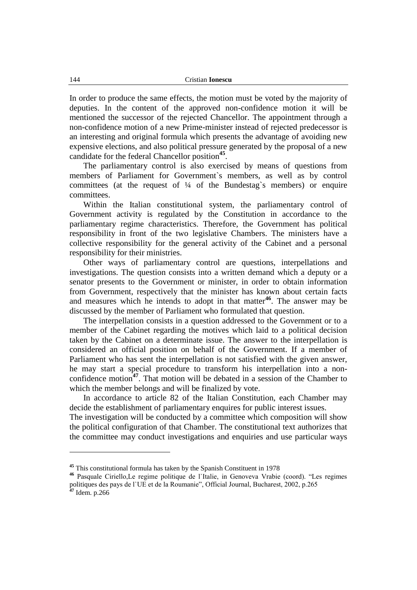In order to produce the same effects, the motion must be voted by the majority of deputies. In the content of the approved non-confidence motion it will be mentioned the successor of the rejected Chancellor. The appointment through a non-confidence motion of a new Prime-minister instead of rejected predecessor is an interesting and original formula which presents the advantage of avoiding new expensive elections, and also political pressure generated by the proposal of a new candidate for the federal Chancellor position**<sup>45</sup>** .

The parliamentary control is also exercised by means of questions from members of Parliament for Government`s members, as well as by control committees (at the request of  $\frac{1}{4}$  of the Bundestag's members) or enquire committees.

Within the Italian constitutional system, the parliamentary control of Government activity is regulated by the Constitution in accordance to the parliamentary regime characteristics. Therefore, the Government has political responsibility in front of the two legislative Chambers. The ministers have a collective responsibility for the general activity of the Cabinet and a personal responsibility for their ministries.

Other ways of parliamentary control are questions, interpellations and investigations. The question consists into a written demand which a deputy or a senator presents to the Government or minister, in order to obtain information from Government, respectively that the minister has known about certain facts and measures which he intends to adopt in that matter**<sup>46</sup>**. The answer may be discussed by the member of Parliament who formulated that question.

The interpellation consists in a question addressed to the Government or to a member of the Cabinet regarding the motives which laid to a political decision taken by the Cabinet on a determinate issue. The answer to the interpellation is considered an official position on behalf of the Government. If a member of Parliament who has sent the interpellation is not satisfied with the given answer, he may start a special procedure to transform his interpellation into a nonconfidence motion**<sup>47</sup>**. That motion will be debated in a session of the Chamber to which the member belongs and will be finalized by vote.

In accordance to article 82 of the Italian Constitution, each Chamber may decide the establishment of parliamentary enquires for public interest issues.

The investigation will be conducted by a committee which composition will show the political configuration of that Chamber. The constitutional text authorizes that the committee may conduct investigations and enquiries and use particular ways

**<sup>45</sup>** This constitutional formula has taken by the Spanish Constituent in 1978

**<sup>46</sup>** Pasquale Ciriello,Le regime politique de l`Italie, in Genoveva Vrabie (coord). "Les regimes politiques des pays de l'UE et de la Roumanie", Official Journal, Bucharest, 2002, p.265 **<sup>47</sup>** Idem. p.266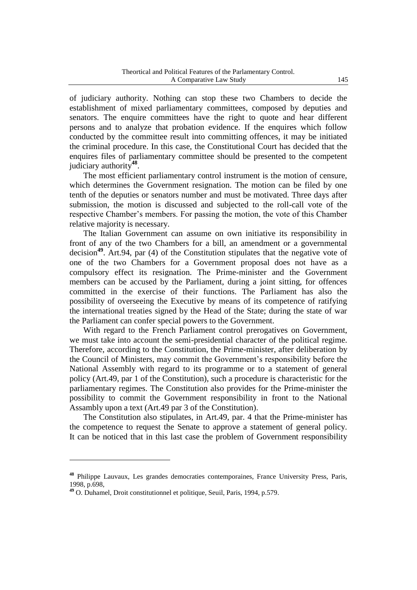of judiciary authority. Nothing can stop these two Chambers to decide the establishment of mixed parliamentary committees, composed by deputies and senators. The enquire committees have the right to quote and hear different persons and to analyze that probation evidence. If the enquires which follow conducted by the committee result into committing offences, it may be initiated the criminal procedure. In this case, the Constitutional Court has decided that the enquires files of parliamentary committee should be presented to the competent judiciary authority**<sup>48</sup>** .

The most efficient parliamentary control instrument is the motion of censure, which determines the Government resignation. The motion can be filed by one tenth of the deputies or senators number and must be motivated. Three days after submission, the motion is discussed and subjected to the roll-call vote of the respective Chamber"s members. For passing the motion, the vote of this Chamber relative majority is necessary.

The Italian Government can assume on own initiative its responsibility in front of any of the two Chambers for a bill, an amendment or a governmental decision**<sup>49</sup>**. Art.94, par (4) of the Constitution stipulates that the negative vote of one of the two Chambers for a Government proposal does not have as a compulsory effect its resignation. The Prime-minister and the Government members can be accused by the Parliament, during a joint sitting, for offences committed in the exercise of their functions. The Parliament has also the possibility of overseeing the Executive by means of its competence of ratifying the international treaties signed by the Head of the State; during the state of war the Parliament can confer special powers to the Government.

With regard to the French Parliament control prerogatives on Government, we must take into account the semi-presidential character of the political regime. Therefore, according to the Constitution, the Prime-minister, after deliberation by the Council of Ministers, may commit the Government"s responsibility before the National Assembly with regard to its programme or to a statement of general policy (Art.49, par 1 of the Constitution), such a procedure is characteristic for the parliamentary regimes. The Constitution also provides for the Prime-minister the possibility to commit the Government responsibility in front to the National Assambly upon a text (Art.49 par 3 of the Constitution).

The Constitution also stipulates, in Art.49, par. 4 that the Prime-minister has the competence to request the Senate to approve a statement of general policy. It can be noticed that in this last case the problem of Government responsibility

**<sup>48</sup>** Philippe Lauvaux, Les grandes democraties contemporaines, France University Press, Paris, 1998, p.698,

**<sup>49</sup>** O. Duhamel, Droit constitutionnel et politique, Seuil, Paris, 1994, p.579.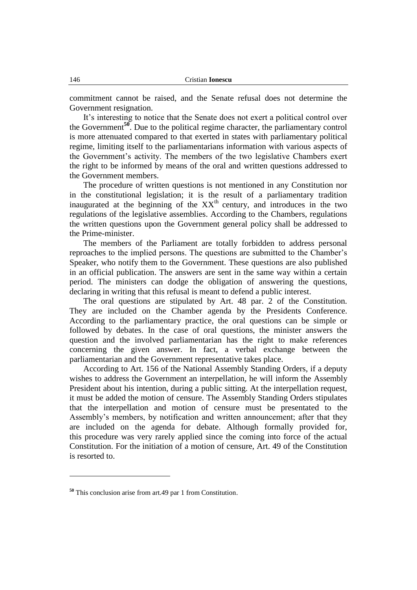commitment cannot be raised, and the Senate refusal does not determine the Government resignation.

It's interesting to notice that the Senate does not exert a political control over the Government**<sup>50</sup>**. Due to the political regime character, the parliamentary control is more attenuated compared to that exerted in states with parliamentary political regime, limiting itself to the parliamentarians information with various aspects of the Government's activity. The members of the two legislative Chambers exert the right to be informed by means of the oral and written questions addressed to the Government members.

The procedure of written questions is not mentioned in any Constitution nor in the constitutional legislation; it is the result of a parliamentary tradition inaugurated at the beginning of the  $XX<sup>th</sup>$  century, and introduces in the two regulations of the legislative assemblies. According to the Chambers, regulations the written questions upon the Government general policy shall be addressed to the Prime-minister.

The members of the Parliament are totally forbidden to address personal reproaches to the implied persons. The questions are submitted to the Chamber"s Speaker, who notify them to the Government. These questions are also published in an official publication. The answers are sent in the same way within a certain period. The ministers can dodge the obligation of answering the questions, declaring in writing that this refusal is meant to defend a public interest.

The oral questions are stipulated by Art. 48 par. 2 of the Constitution. They are included on the Chamber agenda by the Presidents Conference. According to the parliamentary practice, the oral questions can be simple or followed by debates. In the case of oral questions, the minister answers the question and the involved parliamentarian has the right to make references concerning the given answer. In fact, a verbal exchange between the parliamentarian and the Government representative takes place.

According to Art. 156 of the National Assembly Standing Orders, if a deputy wishes to address the Government an interpellation, he will inform the Assembly President about his intention, during a public sitting. At the interpellation request, it must be added the motion of censure. The Assembly Standing Orders stipulates that the interpellation and motion of censure must be presentated to the Assembly"s members, by notification and written announcement; after that they are included on the agenda for debate. Although formally provided for, this procedure was very rarely applied since the coming into force of the actual Constitution. For the initiation of a motion of censure, Art. 49 of the Constitution is resorted to.

**<sup>50</sup>** This conclusion arise from art.49 par 1 from Constitution.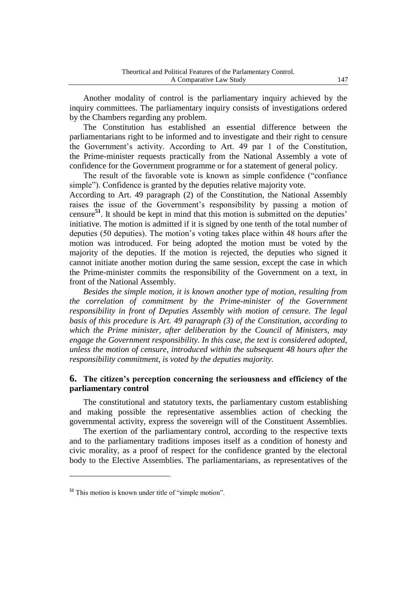Another modality of control is the parliamentary inquiry achieved by the inquiry committees. The parliamentary inquiry consists of investigations ordered by the Chambers regarding any problem.

The Constitution has established an essential difference between the parliamentarians right to be informed and to investigate and their right to censure the Government's activity. According to Art. 49 par 1 of the Constitution, the Prime-minister requests practically from the National Assembly a vote of confidence for the Government programme or for a statement of general policy.

The result of the favorable vote is known as simple confidence ("confiance simple"). Confidence is granted by the deputies relative majority vote.

According to Art. 49 paragraph (2) of the Constitution, the National Assembly raises the issue of the Government's responsibility by passing a motion of censure**<sup>51</sup>**. It should be kept in mind that this motion is submitted on the deputies" initiative. The motion is admitted if it is signed by one tenth of the total number of deputies (50 deputies). The motion"s voting takes place within 48 hours after the motion was introduced. For being adopted the motion must be voted by the majority of the deputies. If the motion is rejected, the deputies who signed it cannot initiate another motion during the same session, except the case in which the Prime-minister commits the responsibility of the Government on a text, in front of the National Assembly.

*Besides the simple motion, it is known another type of motion, resulting from the correlation of commitment by the Prime-minister of the Government responsibility in front of Deputies Assembly with motion of censure. The legal basis of this procedure is Art. 49 paragraph (3) of the Constitution, according to which the Prime minister, after deliberation by the Council of Ministers, may engage the Government responsibility. In this case, the text is considered adopted, unless the motion of censure, introduced within the subsequent 48 hours after the responsibility commitment, is voted by the deputies majority.*

## **6. The citizen's perception concerning the seriousness and efficiency of the parliamentary control**

The constitutional and statutory texts, the parliamentary custom establishing and making possible the representative assemblies action of checking the governmental activity, express the sovereign will of the Constituent Assemblies.

The exertion of the parliamentary control, according to the respective texts and to the parliamentary traditions imposes itself as a condition of honesty and civic morality, as a proof of respect for the confidence granted by the electoral body to the Elective Assemblies. The parliamentarians, as representatives of the

**<sup>51</sup>** This motion is known under title of "simple motion".